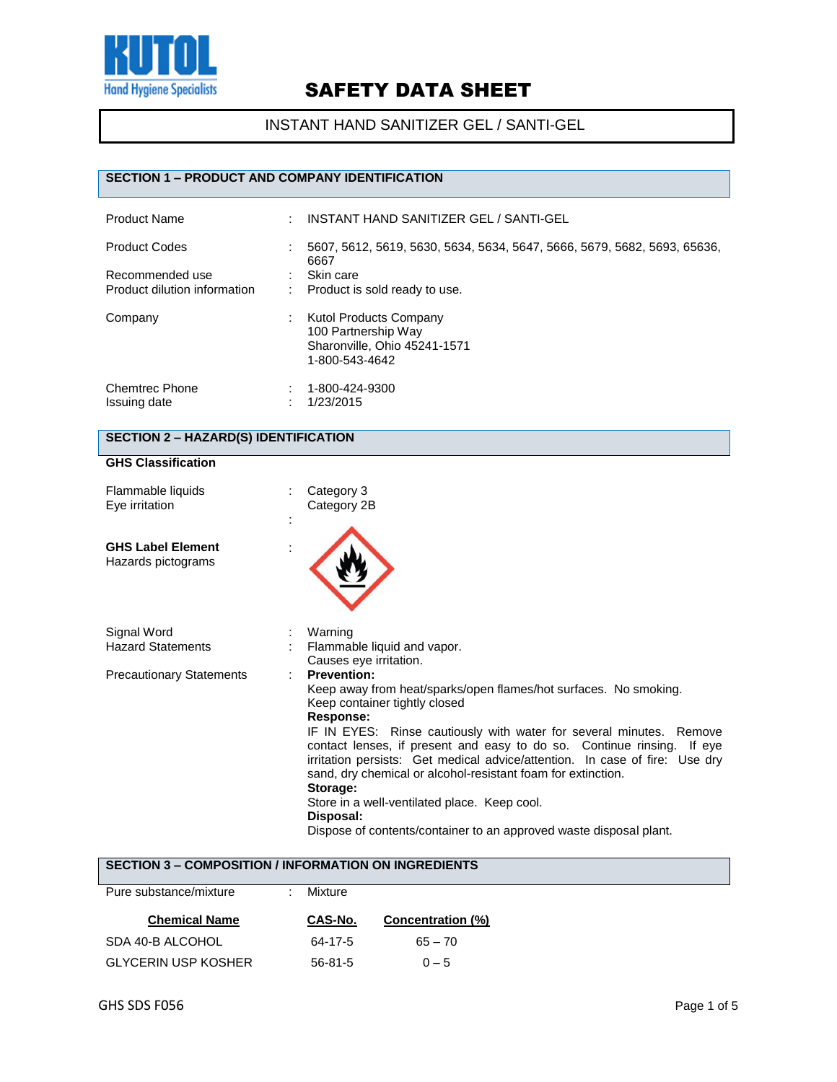

INSTANT HAND SANITIZER GEL / SANTI-GEL

### **SECTION 1 – PRODUCT AND COMPANY IDENTIFICATION**

| <b>Product Name</b>                   | ÷ | INSTANT HAND SANITIZER GEL / SANTI-GEL                                                                 |
|---------------------------------------|---|--------------------------------------------------------------------------------------------------------|
| <b>Product Codes</b>                  |   | 5607, 5612, 5619, 5630, 5634, 5634, 5647, 5666, 5679, 5682, 5693, 65636,<br>6667                       |
| Recommended use                       |   | Skin care                                                                                              |
| Product dilution information          |   | Product is sold ready to use.                                                                          |
| Company                               |   | <b>Kutol Products Company</b><br>100 Partnership Way<br>Sharonville, Ohio 45241-1571<br>1-800-543-4642 |
| <b>Chemtrec Phone</b><br>Issuing date |   | 1-800-424-9300<br>1/23/2015                                                                            |

### **SECTION 2 – HAZARD(S) IDENTIFICATION**

#### **GHS Classification**

| Flammable liquids<br>Eye irritation            | ٠ | Category 3<br>Category 2B                                                                                                                                                                                                                                                                                                                                                                                                                                                                                                                                                           |
|------------------------------------------------|---|-------------------------------------------------------------------------------------------------------------------------------------------------------------------------------------------------------------------------------------------------------------------------------------------------------------------------------------------------------------------------------------------------------------------------------------------------------------------------------------------------------------------------------------------------------------------------------------|
| <b>GHS Label Element</b><br>Hazards pictograms | ÷ |                                                                                                                                                                                                                                                                                                                                                                                                                                                                                                                                                                                     |
| Signal Word<br><b>Hazard Statements</b>        |   | Warning<br>Flammable liquid and vapor.<br>Causes eye irritation.                                                                                                                                                                                                                                                                                                                                                                                                                                                                                                                    |
| <b>Precautionary Statements</b>                |   | <b>Prevention:</b><br>Keep away from heat/sparks/open flames/hot surfaces. No smoking.<br>Keep container tightly closed<br>Response:<br>IF IN EYES: Rinse cautiously with water for several minutes. Remove<br>contact lenses, if present and easy to do so. Continue rinsing. If eye<br>irritation persists: Get medical advice/attention. In case of fire: Use dry<br>sand, dry chemical or alcohol-resistant foam for extinction.<br>Storage:<br>Store in a well-ventilated place. Keep cool.<br>Disposal:<br>Dispose of contents/container to an approved waste disposal plant. |

## **SECTION 3 – COMPOSITION / INFORMATION ON INGREDIENTS**

| Pure substance/mixture     | Mixture |                   |
|----------------------------|---------|-------------------|
| <b>Chemical Name</b>       | CAS-No. | Concentration (%) |
| SDA 40-B ALCOHOL           | 64-17-5 | $65 - 70$         |
| <b>GLYCERIN USP KOSHER</b> | 56-81-5 | $0 - 5$           |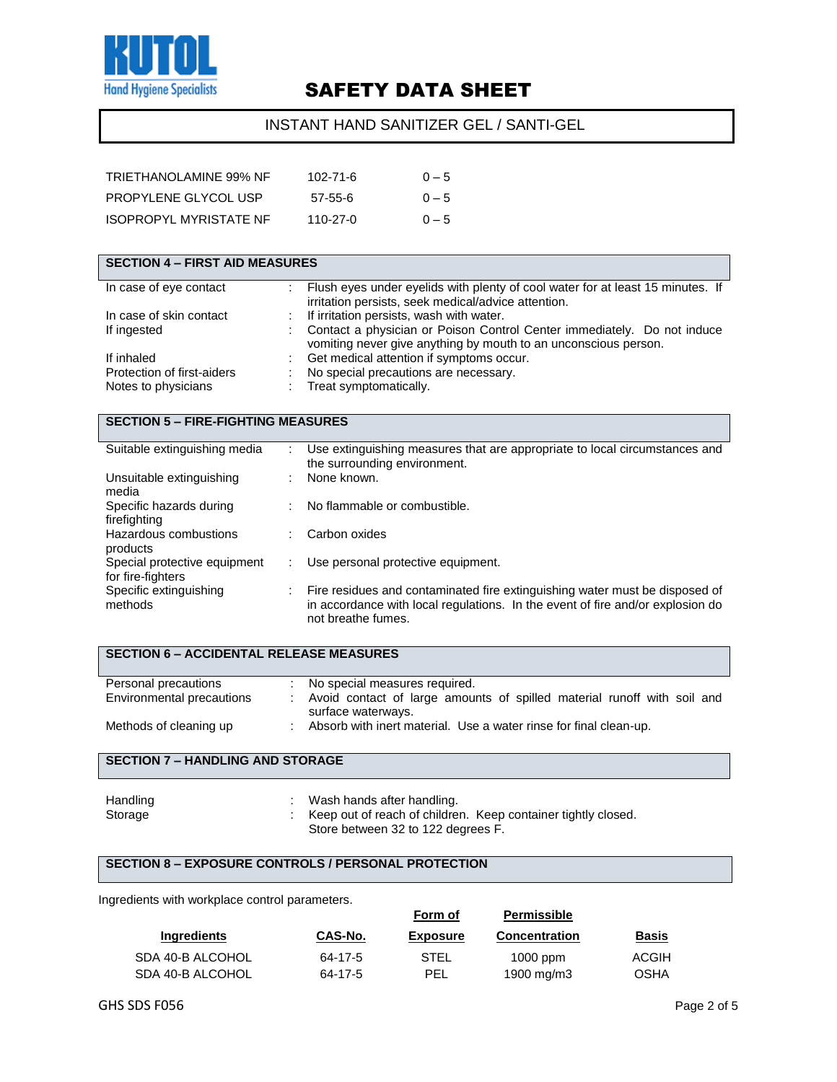

### INSTANT HAND SANITIZER GEL / SANTI-GEL

| TRIETHANOLAMINE 99% NF | 102-71-6      | $0 - 5$ |
|------------------------|---------------|---------|
| PROPYLENE GLYCOL USP   | $57 - 55 - 6$ | $0 - 5$ |
| ISOPROPYL MYRISTATE NF | 110-27-0      | $0 - 5$ |

| <b>SECTION 4 - FIRST AID MEASURES</b>             |                                                                                                                                                                                     |
|---------------------------------------------------|-------------------------------------------------------------------------------------------------------------------------------------------------------------------------------------|
| In case of eye contact                            | Flush eyes under eyelids with plenty of cool water for at least 15 minutes. If<br>irritation persists, seek medical/advice attention.                                               |
| In case of skin contact                           | If irritation persists, wash with water.                                                                                                                                            |
| If ingested                                       | Contact a physician or Poison Control Center immediately. Do not induce<br>vomiting never give anything by mouth to an unconscious person.                                          |
| If inhaled                                        | Get medical attention if symptoms occur.                                                                                                                                            |
| Protection of first-aiders                        | No special precautions are necessary.                                                                                                                                               |
| Notes to physicians                               | Treat symptomatically.                                                                                                                                                              |
|                                                   |                                                                                                                                                                                     |
| <b>SECTION 5 - FIRE-FIGHTING MEASURES</b>         |                                                                                                                                                                                     |
| Suitable extinguishing media                      | $\mathbb{R}^{\mathbb{Z}}$<br>Use extinguishing measures that are appropriate to local circumstances and<br>the surrounding environment.                                             |
| Unsuitable extinguishing<br>media                 | None known.                                                                                                                                                                         |
| Specific hazards during<br>firefighting           | No flammable or combustible.                                                                                                                                                        |
| Hazardous combustions<br>products                 | Carbon oxides                                                                                                                                                                       |
| Special protective equipment<br>for fire-fighters | Use personal protective equipment.                                                                                                                                                  |
| Specific extinguishing<br>methods                 | Fire residues and contaminated fire extinguishing water must be disposed of<br>in accordance with local regulations. In the event of fire and/or explosion do<br>not breathe fumes. |

| <b>SECTION 6 – ACCIDENTAL RELEASE MEASURES</b> |  |                                                                                               |  |  |  |
|------------------------------------------------|--|-----------------------------------------------------------------------------------------------|--|--|--|
| Personal precautions                           |  | No special measures required.                                                                 |  |  |  |
| Environmental precautions                      |  | Avoid contact of large amounts of spilled material runoff with soil and<br>surface waterways. |  |  |  |
| Methods of cleaning up                         |  | Absorb with inert material. Use a water rinse for final clean-up.                             |  |  |  |

## **SECTION 7 – HANDLING AND STORAGE**

| Handling | : Wash hands after handling.                                    |
|----------|-----------------------------------------------------------------|
| Storage  | : Keep out of reach of children. Keep container tightly closed. |
|          | Store between 32 to 122 degrees F.                              |

#### **SECTION 8 – EXPOSURE CONTROLS / PERSONAL PROTECTION**

Ingredients with workplace control parameters.

|                    |         | Form of         | Permissible          |              |
|--------------------|---------|-----------------|----------------------|--------------|
| <b>Ingredients</b> | CAS-No. | <b>Exposure</b> | <b>Concentration</b> | <b>Basis</b> |
| SDA 40-B ALCOHOL   | 64-17-5 | STEL            | $1000$ ppm           | ACGIH        |
| SDA 40-B ALCOHOL   | 64-17-5 | PEL             | 1900 mg/m3           | OSHA         |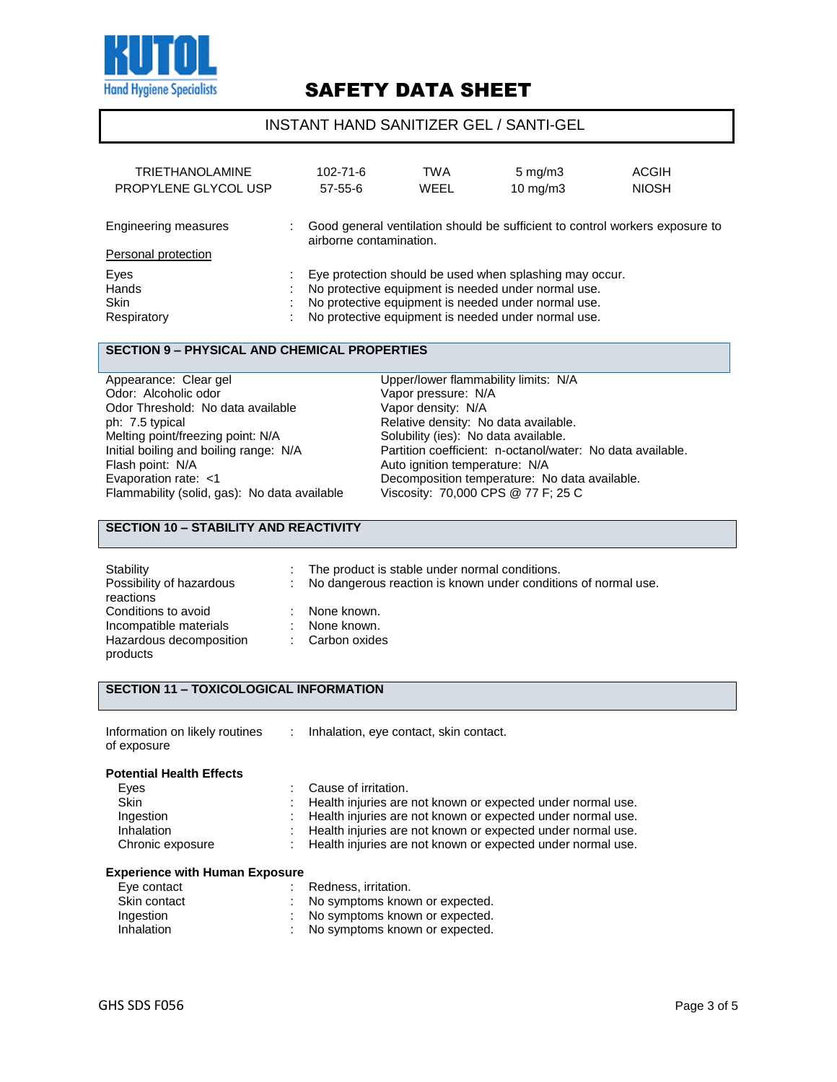

### INSTANT HAND SANITIZER GEL / SANTI-GEL

| <b>TRIETHANOLAMINE</b><br>PROPYLENE GLYCOL USP |        | 102-71-6<br>$57 - 55 - 6$ | TWA<br>WEEL | $5 \text{ mg/m}$<br>$10 \text{ mg/m}$ 3                                                                                                                                                                                      | ACGIH<br><b>NIOSH</b>                                                        |
|------------------------------------------------|--------|---------------------------|-------------|------------------------------------------------------------------------------------------------------------------------------------------------------------------------------------------------------------------------------|------------------------------------------------------------------------------|
| Engineering measures<br>Personal protection    |        | airborne contamination.   |             |                                                                                                                                                                                                                              | Good general ventilation should be sufficient to control workers exposure to |
| Eyes<br>Hands<br><b>Skin</b><br>Respiratory    | ٠<br>٠ |                           |             | Eye protection should be used when splashing may occur.<br>No protective equipment is needed under normal use.<br>No protective equipment is needed under normal use.<br>No protective equipment is needed under normal use. |                                                                              |

#### **SECTION 9 – PHYSICAL AND CHEMICAL PROPERTIES**

Appearance: Clear gel **Exercise Server Clear and Clear Appearance: Clear gel Clear Clear Clear Clear Clear Clear**<br>
Upper/lower flammability limits: N/A<br>
Upper/lower flammability limits: N/A Odor Threshold: No data available Vapor density: N/A ph: 7.5 typical **Phenomical Relative density:** No data available.<br>
Melting point/freezing point: N/A Solubility (ies): No data available. Melting point/freezing point: N/A Solubility (ies): No data available.<br>
Initial boiling and boiling range: N/A Partition coefficient: n-octanol/wat Flammability (solid, gas): No data available

Vapor pressure: N/A Initial boiling and boiling range: N/A Partition coefficient: n-octanol/water: No data available.<br>Flash point: N/A Auto ignition temperature: N/A Auto ignition temperature: N/A Evaporation rate: <1 Decomposition temperature: No data available.<br>Flammability (solid, gas): No data available Viscosity: 70,000 CPS @ 77 F; 25 C

### **SECTION 10 – STABILITY AND REACTIVITY**

| Stability<br>Possibility of hazardous<br>reactions | t. | The product is stable under normal conditions.<br>No dangerous reaction is known under conditions of normal use. |
|----------------------------------------------------|----|------------------------------------------------------------------------------------------------------------------|
| Conditions to avoid                                |    | None known.                                                                                                      |
| Incompatible materials                             |    | None known.                                                                                                      |
| Hazardous decomposition<br>products                |    | : Carbon oxides                                                                                                  |

#### **SECTION 11 – TOXICOLOGICAL INFORMATION**

| Information on likely routines<br>of exposure | ÷. | Inhalation, eye contact, skin contact.                        |
|-----------------------------------------------|----|---------------------------------------------------------------|
| <b>Potential Health Effects</b>               |    |                                                               |
| Eves                                          |    | Cause of irritation.                                          |
| <b>Skin</b>                                   |    | : Health injuries are not known or expected under normal use. |
| Ingestion                                     |    | : Health injuries are not known or expected under normal use. |
| Inhalation                                    |    | : Health injuries are not known or expected under normal use. |

#### Chronic exposure : Health injuries are not known or expected under normal use.

#### **Experience with Human Exposure**

| Eye contact  | Redness, irritation.           |
|--------------|--------------------------------|
| Skin contact | No symptoms known or expected. |
| Ingestion    | No symptoms known or expected. |
| Inhalation   | No symptoms known or expected. |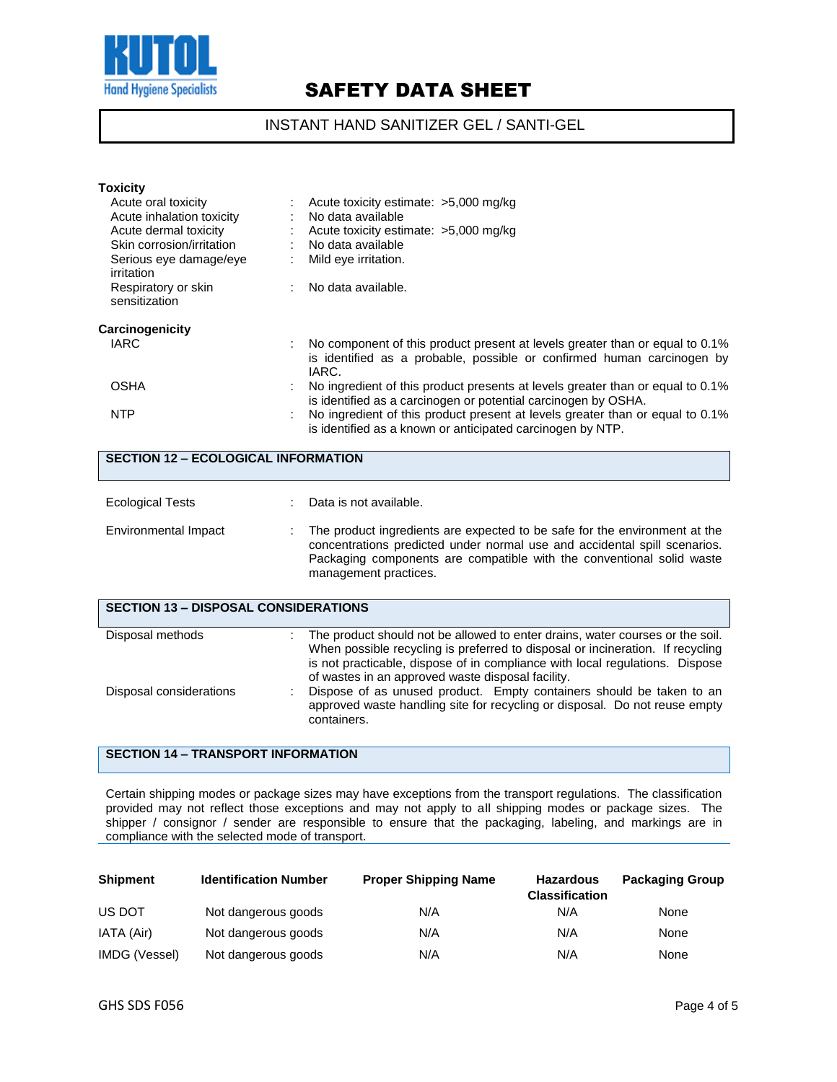

### INSTANT HAND SANITIZER GEL / SANTI-GEL

| <b>Toxicity</b>                            |                                                                                                                                                                 |  |  |  |
|--------------------------------------------|-----------------------------------------------------------------------------------------------------------------------------------------------------------------|--|--|--|
| Acute oral toxicity                        | $\therefore$ Acute toxicity estimate: $>5,000$ mg/kg                                                                                                            |  |  |  |
| Acute inhalation toxicity                  | No data available                                                                                                                                               |  |  |  |
| Acute dermal toxicity                      | : Acute toxicity estimate: $>5,000$ mg/kg                                                                                                                       |  |  |  |
| Skin corrosion/irritation                  | : No data available                                                                                                                                             |  |  |  |
| Serious eye damage/eye<br>irritation       | Mild eye irritation.                                                                                                                                            |  |  |  |
| Respiratory or skin                        | : No data available.                                                                                                                                            |  |  |  |
| sensitization                              |                                                                                                                                                                 |  |  |  |
| Carcinogenicity                            |                                                                                                                                                                 |  |  |  |
| IARC                                       | No component of this product present at levels greater than or equal to 0.1%<br>is identified as a probable, possible or confirmed human carcinogen by<br>IARC. |  |  |  |
| <b>OSHA</b>                                | No ingredient of this product presents at levels greater than or equal to 0.1%<br>is identified as a carcinogen or potential carcinogen by OSHA.                |  |  |  |
| <b>NTP</b>                                 | No ingredient of this product present at levels greater than or equal to 0.1%<br>is identified as a known or anticipated carcinogen by NTP.                     |  |  |  |
| <b>SECTION 12 - ECOLOGICAL INFORMATION</b> |                                                                                                                                                                 |  |  |  |

| <b>Ecological Tests</b>                     |  | Data is not available.                                                                                                                                                                                                                                    |  |  |
|---------------------------------------------|--|-----------------------------------------------------------------------------------------------------------------------------------------------------------------------------------------------------------------------------------------------------------|--|--|
| Environmental Impact                        |  | The product ingredients are expected to be safe for the environment at the<br>concentrations predicted under normal use and accidental spill scenarios.<br>Packaging components are compatible with the conventional solid waste<br>management practices. |  |  |
| <b>SECTION 13 - DISPOSAL CONSIDERATIONS</b> |  |                                                                                                                                                                                                                                                           |  |  |
| Disposal methods                            |  | The product should not be allowed to enter drains, water courses or the soil.<br>When possible recycling is preferred to disposal or incineration. If recycling<br>is not practicable, dispose of in compliance with local regulations. Dispose           |  |  |

of wastes in an approved waste disposal facility. Disposal considerations : Dispose of as unused product. Empty containers should be taken to an approved waste handling site for recycling or disposal. Do not reuse empty containers.

## **SECTION 14 – TRANSPORT INFORMATION**

Certain shipping modes or package sizes may have exceptions from the transport regulations. The classification provided may not reflect those exceptions and may not apply to all shipping modes or package sizes. The shipper / consignor / sender are responsible to ensure that the packaging, labeling, and markings are in compliance with the selected mode of transport.

| <b>Shipment</b> | <b>Identification Number</b> | <b>Proper Shipping Name</b> | <b>Hazardous</b><br><b>Classification</b> | <b>Packaging Group</b> |
|-----------------|------------------------------|-----------------------------|-------------------------------------------|------------------------|
| US DOT          | Not dangerous goods          | N/A                         | N/A                                       | None                   |
| IATA (Air)      | Not dangerous goods          | N/A                         | N/A                                       | None                   |
| IMDG (Vessel)   | Not dangerous goods          | N/A                         | N/A                                       | None                   |